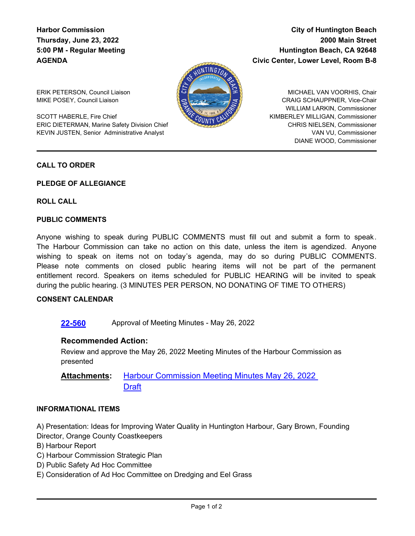# **Harbor Commission Thursday, June 23, 2022 5:00 PM - Regular Meeting AGENDA**

# **City of Huntington Beach 2000 Main Street Huntington Beach, CA 92648 Civic Center, Lower Level, Room B-8**



ERIK PETERSON, Council Liaison MIKE POSEY, Council Liaison

SCOTT HABERLE, Fire Chief ERIC DIETERMAN, Marine Safety Division Chief KEVIN JUSTEN, Senior Administrative Analyst

MICHAEL VAN VOORHIS, Chair CRAIG SCHAUPPNER, Vice-Chair WILLIAM LARKIN, Commissioner KIMBERLEY MILLIGAN, Commissioner CHRIS NIELSEN, Commissioner VAN VU, Commissioner DIANE WOOD, Commissioner

### **CALL TO ORDER**

### **PLEDGE OF ALLEGIANCE**

### **ROLL CALL**

### **PUBLIC COMMENTS**

Anyone wishing to speak during PUBLIC COMMENTS must fill out and submit a form to speak. The Harbour Commission can take no action on this date, unless the item is agendized. Anyone wishing to speak on items not on today's agenda, may do so during PUBLIC COMMENTS. Please note comments on closed public hearing items will not be part of the permanent entitlement record. Speakers on items scheduled for PUBLIC HEARING will be invited to speak during the public hearing. (3 MINUTES PER PERSON, NO DONATING OF TIME TO OTHERS)

### **CONSENT CALENDAR**

**[22-560](http://huntingtonbeach.legistar.com/gateway.aspx?m=l&id=/matter.aspx?key=5672)** Approval of Meeting Minutes - May 26, 2022

### **Recommended Action:**

Review and approve the May 26, 2022 Meeting Minutes of the Harbour Commission as presented

[Harbour Commission Meeting Minutes May 26, 2022](http://huntingtonbeach.legistar.com/gateway.aspx?M=F&ID=cbf765cd-503e-40c2-b636-60f86bb1685a.pdf)  **Draft Attachments:**

### **INFORMATIONAL ITEMS**

A) Presentation: Ideas for Improving Water Quality in Huntington Harbour, Gary Brown, Founding Director, Orange County Coastkeepers

- B) Harbour Report
- C) Harbour Commission Strategic Plan
- D) Public Safety Ad Hoc Committee
- E) Consideration of Ad Hoc Committee on Dredging and Eel Grass